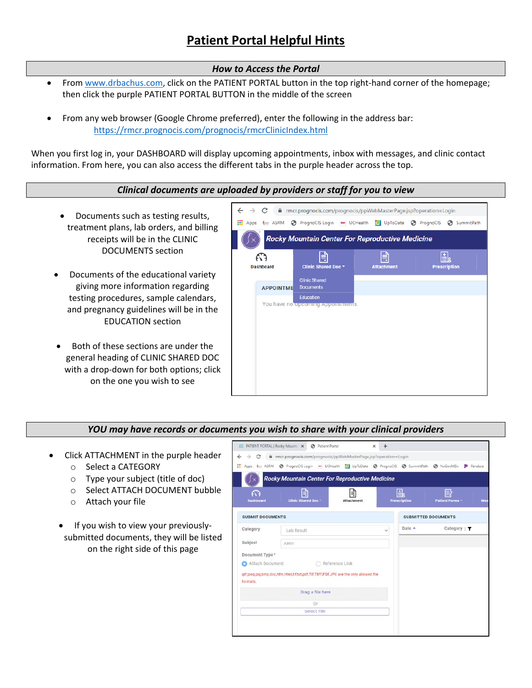# *How to Access the Portal*

- From [www.drbachus.com,](http://www.drbachus.com/) click on the PATIENT PORTAL button in the top right-hand corner of the homepage; then click the purple PATIENT PORTAL BUTTON in the middle of the screen
- From any web browser (Google Chrome preferred), enter the following in the address bar: <https://rmcr.prognocis.com/prognocis/rmcrClinicIndex.html>

When you first log in, your DASHBOARD will display upcoming appointments, inbox with messages, and clinic contact information. From here, you can also access the different tabs in the purple header across the top.

## *Clinical documents are uploaded by providers or staff for you to view*

- Documents such as testing results, treatment plans, lab orders, and billing receipts will be in the CLINIC DOCUMENTS section
- Documents of the educational variety giving more information regarding testing procedures, sample calendars, and pregnancy guidelines will be in the EDUCATION section
- Both of these sections are under the general heading of CLINIC SHARED DOC with a drop-down for both options; click on the one you wish to see



#### *YOU may have records or documents you wish to share with your clinical providers*

- Click ATTACHMENT in the purple header
	- o Select a CATEGORY
	- o Type your subject (title of doc)
	- o Select ATTACH DOCUMENT bubble
	- o Attach your file
	- If you wish to view your previouslysubmitted documents, they will be listed on the right side of this page

| C<br>$\rightarrow$      | <b>E PATIENT PORTAL   Rocky Mounts X @ Patient Portal</b><br>mcr.prognocis.com/prognocis/ppWebMasterPage.jsp?operation=Login |                   |                            |                          |                             |  |
|-------------------------|------------------------------------------------------------------------------------------------------------------------------|-------------------|----------------------------|--------------------------|-----------------------------|--|
|                         | Til Apps 6 ASRM @ PrognoClS Login - UCHealth 11 UpToDate @ PrognoClS @ SummitPath @ NxGenMDx                                 |                   |                            |                          | Pandora                     |  |
|                         | Rocky Mountain Center For Reproductive Medicine                                                                              |                   |                            |                          |                             |  |
| F.<br>Dashboard         | 目<br>Clinic Shared Doc -                                                                                                     | <b>Attachment</b> |                            | 围<br><b>Prescription</b> | 3<br>Patient Forms -<br>Mes |  |
| <b>SUBMIT DOCUMENTS</b> |                                                                                                                              |                   | <b>SUBMITTED DOCUMENTS</b> |                          |                             |  |
| Category                | Lab Result                                                                                                                   |                   | $\checkmark$               | Date A                   | Category & T                |  |
| Subject                 | AMH                                                                                                                          |                   |                            |                          |                             |  |
| Document Type*          |                                                                                                                              |                   |                            |                          |                             |  |
| Attach Document<br>o.   |                                                                                                                              | ○ Reference Link  |                            |                          |                             |  |
| formats.                | gif.jpeg.jpg.bmp.doc.htm.html.tif.txt.pdf.TIF.TIFF.PDF,JPG are the only allowed file                                         |                   |                            |                          |                             |  |
|                         | Drag a file here                                                                                                             |                   |                            |                          |                             |  |
|                         | Оr                                                                                                                           |                   |                            |                          |                             |  |
|                         | Select File                                                                                                                  |                   |                            |                          |                             |  |